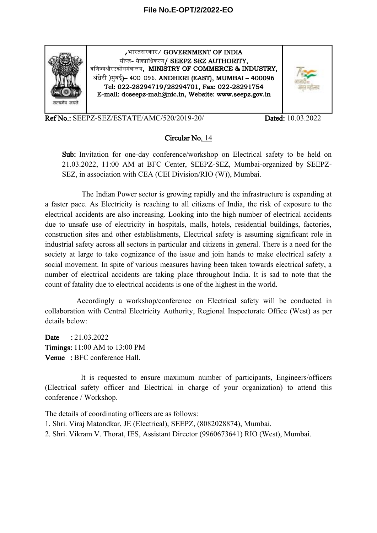

*,*भभारतसररकभार/ GOVERNMENT OF INDIA सीप्ज़- सेज़प्राधिकरण/ SEEPZ SEZ AUTHORITY, वणिज्यऔरउद्योगमंत्रालय, MINISTRY OF COMMERCE & INDUSTRY, अंधेरी )मुंबई)– 400 096. ANDHERI (EAST), MUMBAI – 400096 Tel: 022-28294719/28294701, Fax: 022-28291754 E-mail: dcseepz-mah@nic.in, Website: www.seepz.gov.in



Ref No.: SEEPZ-SEZ/ESTATE/AMC/520/2019-20/ Dated: 10.03.2022

## Circular No. 14

Sub: Invitation for one-day conference/workshop on Electrical safety to be held on 21.03.2022, 11:00 AM at BFC Center, SEEPZ-SEZ, Mumbai-organized by SEEPZ-SEZ, in association with CEA (CEI Division/RIO (W)), Mumbai.

The Indian Power sector is growing rapidly and the infrastructure is expanding at a faster pace. As Electricity is reaching to all citizens of India, the risk of exposure to the electrical accidents are also increasing. Looking into the high number of electrical accidents due to unsafe use of electricity in hospitals, malls, hotels, residential buildings, factories, construction sites and other establishments, Electrical safety is assuming significant role in industrial safety across all sectors in particular and citizens in general. There is a need for the society at large to take cognizance of the issue and join hands to make electrical safety a social movement. In spite of various measures having been taken towards electrical safety, a number of electrical accidents are taking place throughout India. It is sad to note that the count of fatality due to electrical accidents is one of the highest in the world.

Accordingly a workshop/conference on Electrical safety will be conducted in collaboration with Central Electricity Authority, Regional Inspectorate Office (West) as per details below:

Date : 21.03.2022 Timings: 11:00 AM to 13:00 PM Venue : BFC conference Hall.

It is requested to ensure maximum number of participants, Engineers/officers (Electrical safety officer and Electrical in charge of your organization) to attend this conference / Workshop.

The details of coordinating officers are as follows:

- 1. Shri. Viraj Matondkar, JE (Electrical), SEEPZ, (8082028874), Mumbai.
- 2. Shri. Vikram V. Thorat, IES, Assistant Director (9960673641) RIO (West), Mumbai.